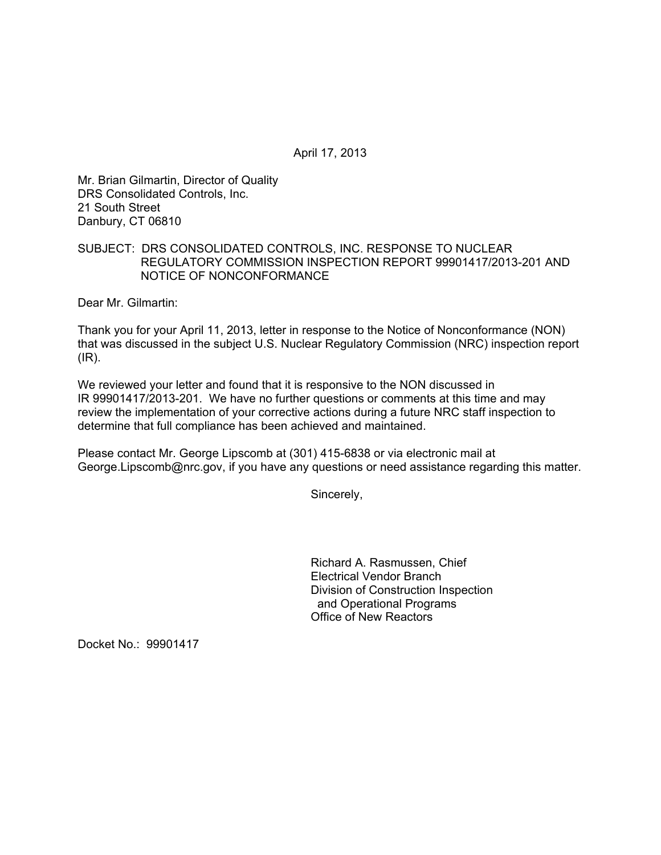April 17, 2013

Mr. Brian Gilmartin, Director of Quality DRS Consolidated Controls, Inc. 21 South Street Danbury, CT 06810

## SUBJECT: DRS CONSOLIDATED CONTROLS, INC. RESPONSE TO NUCLEAR REGULATORY COMMISSION INSPECTION REPORT 99901417/2013-201 AND NOTICE OF NONCONFORMANCE

Dear Mr. Gilmartin:

Thank you for your April 11, 2013, letter in response to the Notice of Nonconformance (NON) that was discussed in the subject U.S. Nuclear Regulatory Commission (NRC) inspection report (IR).

We reviewed your letter and found that it is responsive to the NON discussed in IR 99901417/2013-201. We have no further questions or comments at this time and may review the implementation of your corrective actions during a future NRC staff inspection to determine that full compliance has been achieved and maintained.

Please contact Mr. George Lipscomb at (301) 415-6838 or via electronic mail at George.Lipscomb@nrc.gov, if you have any questions or need assistance regarding this matter.

Sincerely,

Richard A. Rasmussen, Chief Electrical Vendor Branch Division of Construction Inspection and Operational Programs Office of New Reactors

Docket No.: 99901417